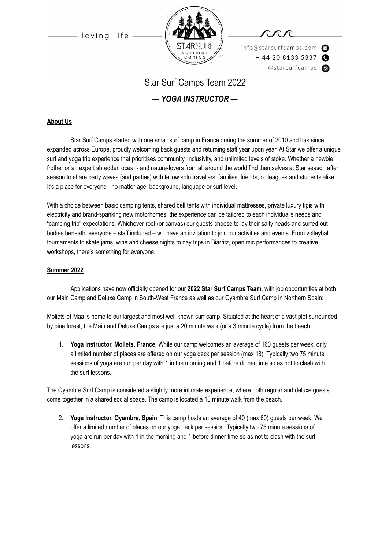

info@starsurfcamps.com  $+442081335337$ @starsurfcamps @

# Star Surf Camps Team 2022

*— YOGA INSTRUCTOR —*

### **About Us**

Star Surf Camps started with one small surf camp in France during the summer of 2010 and has since expanded across Europe, proudly welcoming back guests and returning staff year upon year. At Star we offer a unique surf and yoga trip experience that prioritises community, inclusivity, and unlimited levels of stoke. Whether a newbie frother or an expert shredder, ocean- and nature-lovers from all around the world find themselves at Star season after season to share party waves (and parties) with fellow solo travellers, families, friends, colleagues and students alike. It's a place for everyone - no matter age, background, language or surf level.

With a choice between basic camping tents, shared bell tents with individual mattresses, private luxury tipis with electricity and brand-spanking new motorhomes, the experience can be tailored to each individual's needs and "camping trip" expectations. Whichever roof (or canvas) our guests choose to lay their salty heads and surfed-out bodies beneath, everyone – staff included – will have an invitation to join our activities and events. From volleyball tournaments to skate jams, wine and cheese nights to day trips in Biarritz, open mic performances to creative workshops, there's something for everyone.

#### **Summer 2022**

Applications have now officially opened for our **2022 Star Surf Camps Team**, with job opportunities at both our Main Camp and Deluxe Camp in South-West France as well as our Oyambre Surf Camp in Northern Spain:

Moliets-et-Maa is home to our largest and most well-known surf camp. Situated at the heart of a vast plot surrounded by pine forest, the Main and Deluxe Camps are just a 20 minute walk (or a 3 minute cycle) from the beach.

1. **Yoga Instructor, Moliets, France**: While our camp welcomes an average of 160 guests per week, only a limited number of places are offered on our yoga deck per session (max 18). Typically two 75 minute sessions of yoga are run per day with 1 in the morning and 1 before dinner time so as not to clash with the surf lessons.

The Oyambre Surf Camp is considered a slightly more intimate experience, where both regular and deluxe guests come together in a shared social space. The camp is located a 10 minute walk from the beach.

2. **Yoga Instructor, Oyambre, Spain**: This camp hosts an average of 40 (max 60) guests per week. We offer a limited number of places on our yoga deck per session. Typically two 75 minute sessions of yoga are run per day with 1 in the morning and 1 before dinner time so as not to clash with the surf lessons.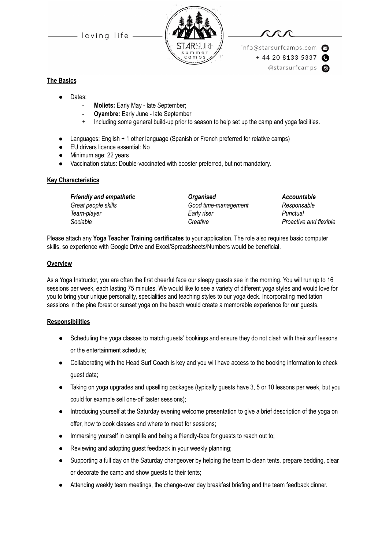

info@starsurfcamps.com  $+442081335337$ @starsurfcamps @

### **The Basics**

- Dates:
	- Moliets: Early May late September;
	- **Oyambre:** Early June late September
	- Including some general build-up prior to season to help set up the camp and yoga facilities.
- Languages: English + 1 other language (Spanish or French preferred for relative camps)
- EU drivers licence essential: No
- Minimum age: 22 years
- Vaccination status: Double-vaccinated with booster preferred, but not mandatory.

#### **Key Characteristics**

*Great people skills Good time-management Responsable Team-player Early riser Punctual Sociable Creative Proactive and flexible*

*Friendly and empathetic Organised Accountable*

Please attach any **Yoga Teacher Training certificates** to your application. The role also requires basic computer skills, so experience with Google Drive and Excel/Spreadsheets/Numbers would be beneficial.

#### **Overview**

As a Yoga Instructor, you are often the first cheerful face our sleepy guests see in the morning. You will run up to 16 sessions per week, each lasting 75 minutes. We would like to see a variety of different yoga styles and would love for you to bring your unique personality, specialities and teaching styles to our yoga deck. Incorporating meditation sessions in the pine forest or sunset yoga on the beach would create a memorable experience for our guests.

#### **Responsibilities**

- Scheduling the yoga classes to match guests' bookings and ensure they do not clash with their surf lessons or the entertainment schedule;
- Collaborating with the Head Surf Coach is key and you will have access to the booking information to check guest data;
- Taking on yoga upgrades and upselling packages (typically guests have 3, 5 or 10 lessons per week, but you could for example sell one-off taster sessions);
- Introducing yourself at the Saturday evening welcome presentation to give a brief description of the yoga on offer, how to book classes and where to meet for sessions;
- Immersing yourself in camplife and being a friendly-face for guests to reach out to;
- Reviewing and adopting guest feedback in your weekly planning;
- Supporting a full day on the Saturday changeover by helping the team to clean tents, prepare bedding, clear or decorate the camp and show guests to their tents;
- Attending weekly team meetings, the change-over day breakfast briefing and the team feedback dinner.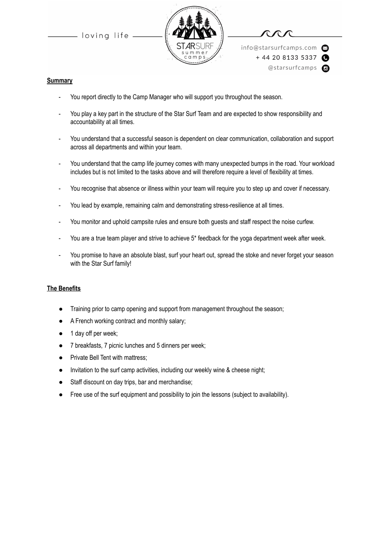

info@starsurfcamps.com  $+442081335337$ @starsurfcamps @

#### **Summary**

- You report directly to the Camp Manager who will support you throughout the season.
- You play a key part in the structure of the Star Surf Team and are expected to show responsibility and accountability at all times.
- You understand that a successful season is dependent on clear communication, collaboration and support across all departments and within your team.
- You understand that the camp life journey comes with many unexpected bumps in the road. Your workload includes but is not limited to the tasks above and will therefore require a level of flexibility at times.
- You recognise that absence or illness within your team will require you to step up and cover if necessary.
- You lead by example, remaining calm and demonstrating stress-resilience at all times.
- You monitor and uphold campsite rules and ensure both guests and staff respect the noise curfew.
- You are a true team player and strive to achieve 5\* feedback for the yoga department week after week.
- You promise to have an absolute blast, surf your heart out, spread the stoke and never forget your season with the Star Surf family!

#### **The Benefits**

- Training prior to camp opening and support from management throughout the season;
- A French working contract and monthly salary;
- 1 day off per week;
- 7 breakfasts, 7 picnic lunches and 5 dinners per week;
- Private Bell Tent with mattress;
- Invitation to the surf camp activities, including our weekly wine & cheese night;
- Staff discount on day trips, bar and merchandise;
- Free use of the surf equipment and possibility to join the lessons (subject to availability).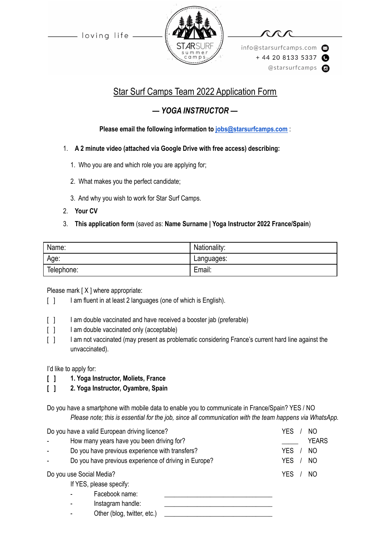

info@starsurfcamps.com  $+442081335337$ @starsurfcamps @

# Star Surf Camps Team 2022 Application Form

# *— YOGA INSTRUCTOR —*

# **Please email the following information to [jobs@starsurfcamps.com](mailto:jobs@starsurfcamps.com)** :

# 1. **A 2 minute video (attached via Google Drive with free access) describing:**

- 1️. Who you are and which role you are applying for;
- 2. What makes you the perfect candidate;
- 3️. And why you wish to work for Star Surf Camps.
- 2. **Your CV**

# 3. **This application form** (saved as: **Name Surname | Yoga Instructor 2022 France/Spain**)

| Name:      | Nationality: |
|------------|--------------|
| Age:       | Languages:   |
| Telephone: | Email:       |

Please mark [ X ] where appropriate:

- [ ] I am fluent in at least 2 languages (one of which is English).
- [ ] I am double vaccinated and have received a booster jab (preferable)
- [ ] I am double vaccinated only (acceptable)
- [  $1$  I am not vaccinated (may present as problematic considering France's current hard line against the unvaccinated).

I'd like to apply for:

- **[ ] 1. Yoga Instructor, Moliets, France**
- **[ ] 2. Yoga Instructor, Oyambre, Spain**

Do you have a smartphone with mobile data to enable you to communicate in France/Spain? YES / NO *Please note; this is essential for the job, since all communication with the team happens via WhatsApp.*

| Do you have a valid European driving licence? |                                                       | YES<br>N <sub>O</sub>        |
|-----------------------------------------------|-------------------------------------------------------|------------------------------|
|                                               | How many years have you been driving for?             | <b>YEARS</b>                 |
|                                               | Do you have previous experience with transfers?       | <b>YES</b><br>N <sub>O</sub> |
| ÷.                                            | Do you have previous experience of driving in Europe? | <b>YES</b><br>N <sub>O</sub> |
| Do you use Social Media?                      |                                                       | YES<br>NO.                   |
|                                               | If YES, please specify:                               |                              |
|                                               | Facebook name:<br>٠                                   |                              |
|                                               | Instagram handle:<br>٠                                |                              |
|                                               | Other (blog, twitter, etc.)                           |                              |